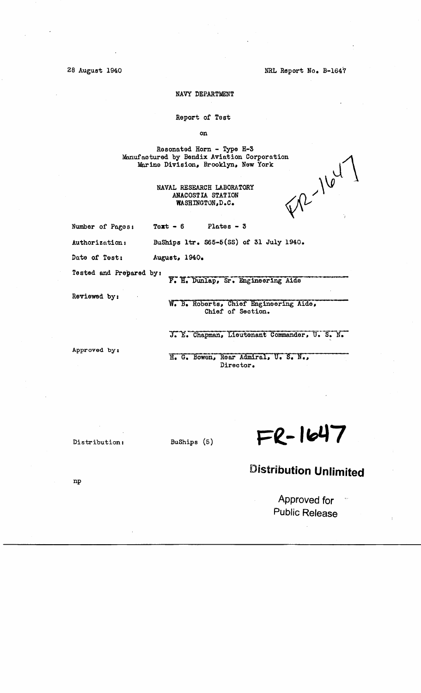NRL Report No. B-1647

28 August 1940

### NAVY DEPARTMENT

Report of Test

on

Resonated Horn - Type H-3 Manufactured by Bendix Aviation Corporation Marine Division, Brooklyn, New York

> NAVAL RESEARCH LABORATORY ANACOSTIA STATION WASHINGTON, D.C.

 $\mathrm{V}^{(2)}$ 164

Number of Pages:

Text  $-6$ Plates  $-3$ 

Authorization: BuShips ltr. S65-5(SS) of 31 July 1940.

Date of Test: August, 1940.

Tested and Prepared by:

F. H. Dunlap, Sr. Engineering Aide

Reviewed by:

W. B. Roberts, Chief Engineering Aide, Chief of Section.

J. E. Chapman, Lieutenant Commander, U. S. N.

Approved by:

H. G. Bowen, Rear Admiral, U. S. N., Director.

Distribution:

BuShips (5)

 $FR - 1647$ 

# **Distribution Unlimited**

Approved for **Public Release** 

 $np$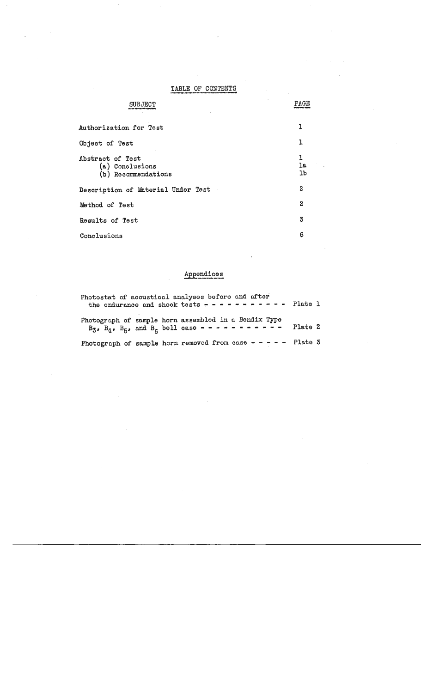## TABLE OF CONTENTS

 $\ddot{\phantom{a}}$ 

|                                                            | PAGE          |
|------------------------------------------------------------|---------------|
| Authorization for Test                                     | ı             |
| Object of Test                                             | ı             |
| Abstract of Test<br>(a) Conclusions<br>(b) Recommendations | ı<br>1a<br>1b |
| Description of Material Under Test                         | 2             |
| Method of Test                                             | $\mathbf{z}$  |
| Results of Test                                            | 3             |
| Conclusions                                                | 6             |

# Appendices

| Photostat of acoustical analyses before and after<br>the endurance and shook tests $- - - - - - - - - -$ Plate 1                                              |         |  |
|---------------------------------------------------------------------------------------------------------------------------------------------------------------|---------|--|
| Photograph of sample horn assembled in a Bendix Type<br>B <sub>3</sub> , B <sub>4</sub> , B <sub>5</sub> , and B <sub>6</sub> bell case - - - - - - - - - - - | Plate 2 |  |
| Photograph of sample horn removed from case $- - - -$ Plate 3                                                                                                 |         |  |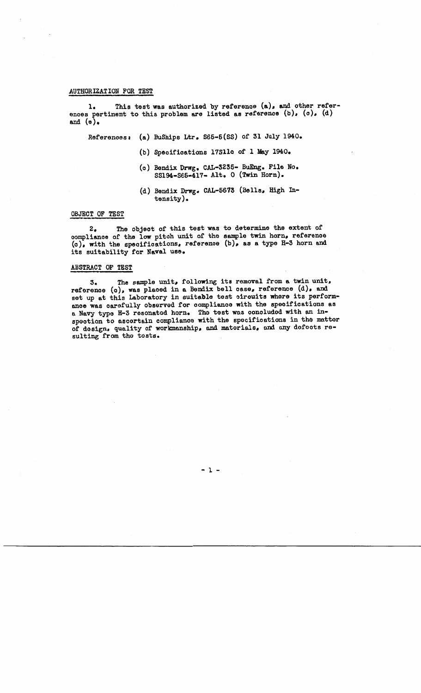### AUTHORIZATION FOR TEST

1. This test was authorized by reference **(a),** and other references pertinent to this problem are listed as reference  $(b)$ ,  $(c)$ ,  $(d)$ and  $(e)$ .

Referenoesa (a) BuShips Ltr. S66-6(SS) of 31 July 1940.

- (b) Specifications 17S1lc of l May 1940.
- (c) Bendix Drwg. CAL-3235- BuEng. File No. SS194-S65-417- Alt. 0 (Twin Horn).
- (d) Bendix Drwg. CAL-5673 (Bells, High Intensity).

#### OBJECT OF TEST

2. The object of this test was to determine the extent of compliance of the low pitch unit of the sample twin horn, reference (c), with the specifications, reference (b), as a type H-3 horn and its suitability for **Naval use.** 

### ABSTRACT OF TEST

3. The sample unit, following its removal from a twin unit, reference  $(c)$ , was placed in a Bendix bell case, reference  $(d)$ , and set up at this Laboratory in suitable test circuits where its perform**anoe was** carefully observed for compliance with the specifications as a Navy type H-3 resonated horn. The test was concluded with an inspootion to ascertain compliance with the specifications in the matter of design, qunlity of workmanship, nnd materials, nnd any dofoots resulting from the tests.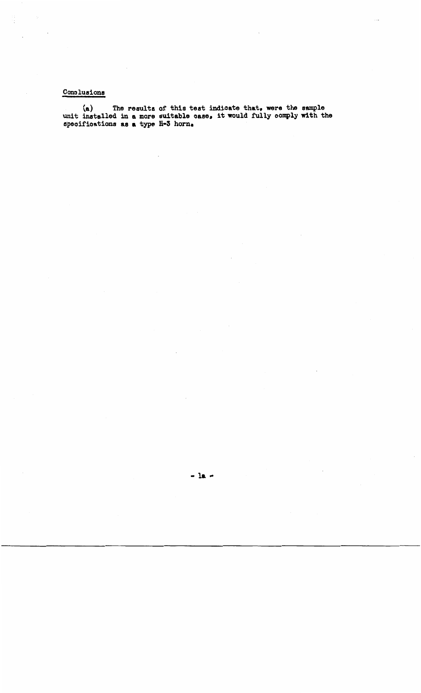## Conclusions

(a) The results of this test indicate that, were the sample unit installed in a more suitable case, it would fully comply with the specifications as a type  $H-3$  horn.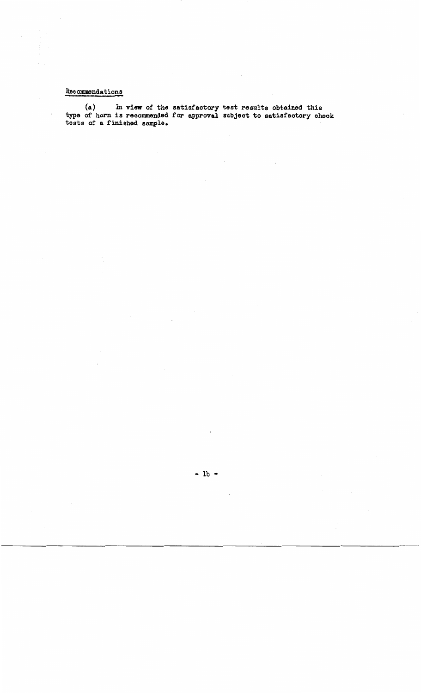# Recommendations

 $\ddot{\phantom{0}}$ 

**(a)** In view of the satisfactory test results obtained this type of horn is recommended for approval subject to satisfactory check tests of a finished snmple.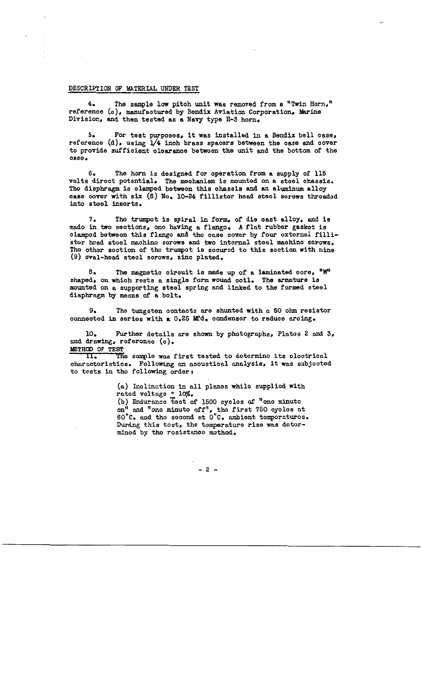#### DESCRIPTION OF MATERIAL UNDER TEST

4. The sample low pitch unit was removed from a "Twin Horn," referenoe (o), manufaotured by Bendix Aviation Corporation, Marine Division, and then tested **as a Navy** type H-3 horn.

s. For test purposes, it was installed in a Bendix bell oase, reference  $(d)$ , using  $1/4$  inoh brass spacers between the case and cover to provide suffioient olearanoe betwoen the unit and the bottom of tho case.

6. The horn is designed for operation from **a** supply of 115 volts diroot potential. The mechanism is mounted on **a** stool chassis. Tho diaphragm is olamped botweon this chassis and an aluminum alloy **case** oovor with six (6) No. 10-24 fillistor hand steal screws throadod into stool insorts.

7. Tho trumpot is spiral in form, of die oast alloy, and is mado in two sections, ono having a flango. A flnt rubber gaskot is clamped between this flongo and tho onso cover by four oxtornnl fillistor hoad stoel machino sorows and two internal stoel machine serows. The other section of the trumpet is socured to this section with nine (9) oval-hoad steal scrows, zino plnted.

s. The magnetic circuit is made up of a laminated oore, "W" shaped, on whioh rests a single form wound ooil. The armature is mounted on a supporting steel spring and linked to the formed steel diaphragm by means of a bolt.

9. The tungsten aontnots o.re shunted with n 50 ohm resistor connected in series with a 0.25 Mfd. condenser to reduce arcing.

10. Further detnils nre shown by photogrnphs, Platos 2 nnd 3, and drawing, referonce (c).

METHOD OF TEST<br>II. Th 11. Tfie anmplo wns first testod to dotormino its olootrionl ohnrnotoristios. Following an noousticnl nnalysis. it was subjootod to tosts in tho following order:

> (a) Inclination in all planes while supplied with rnted voltngo + 10%.

(b) Endurance test of 1500 cycles of "one minute on" and "one minuto off", the first 750 eyeles at  $60^{\circ}$ C. and tho socond at  $0^{\circ}$ C. ambient tomporaturos. During this tost, the tomperature rise was detorminod by tho rosistnnoo mothod.

 $-2 -$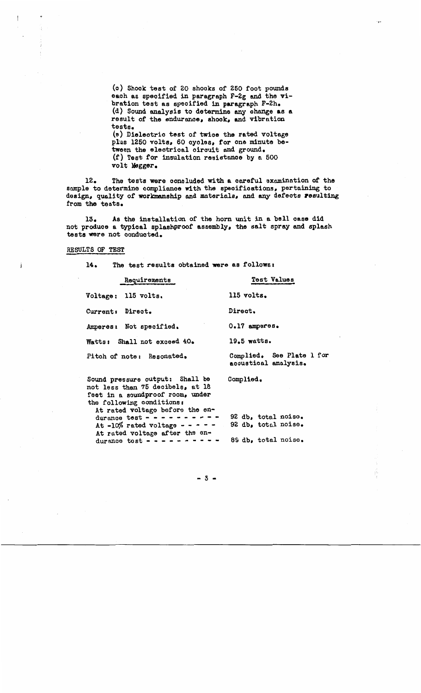(o) Shook test of 20 shooks of 250 foot pounds eaoh as specified in paragraph F-2g and the vibration test as specified in paragraph F-2h. (d) Sound analysis to determine any ohnnge **as a**  result of the endurance, shook, and vibrntion tests. (e) Dielectric test of twice the rated voltage plus 1250 volts, 60 oyoles, for one minute between the electrical circuit ond ground. (f) Test for insulation resistnnoe by n 500 volt M9gger.

12. The tests were concluded with a careful examination of the sample to determine compliance with the specifioations, pertaining to design, quality of workmanship and materials, and any defects resulting from the tests.

13. As the installation of the horn unit in a bell **case** did not produce a typical splashproof assembly, the salt spray and splash tests were not conduoted.

#### RESULTS OF TEST

14. The test results obtained were as follows a

| Requirements                                                        | <b>Test Values</b>                                |
|---------------------------------------------------------------------|---------------------------------------------------|
| Voltage: 115 volts.                                                 | 115 volts.                                        |
| Current: Direct.                                                    | Direct.                                           |
| Amperes: Not specified.                                             | $0.17$ amperes.                                   |
| Watts: Shall not exceed 40.                                         | $19.5$ watts.                                     |
| Pitch of note: Resonated.                                           | Complied. See Plate 1 for<br>acoustical analysis. |
| Sound pressure output: Shall be<br>not less than 75 decibels, at 18 | Complied.                                         |

feet in a soundproof room, under the following conditions: At rated voltage before the en-<br>durance test - - - - - - - - - -At  $-10\%$  rated voltage - - - - -<br>At rated voltage after the endurance tost  $- - - - - - - - - -$ 92 db. total noiso. 92 db, total noise. 89 db, total noise.

 $-3 -$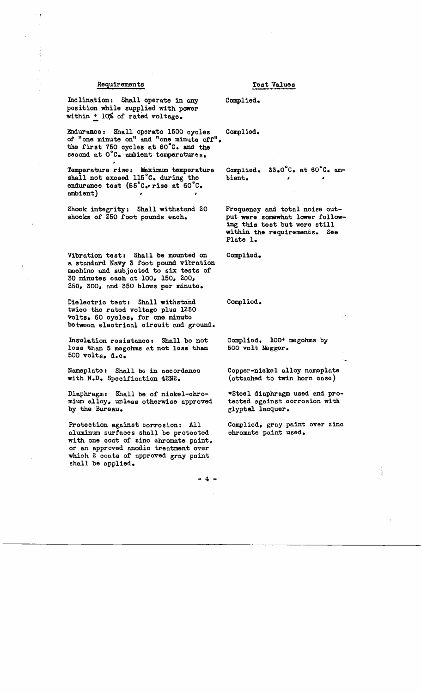#### Requirements

### Test Values

Inclination: Shall operate in any position while supplied with power within + 10% of rated voltage.

Endurance: Shall operate 1500 cycles of "one minute on" and "one minute off", the first 750 cycles at 60°C. and the second at O'C. ambient temperatures.

Temperature rise: Maximum temperature shall not exceed 115°C. during the endurance test (55°C. rise at 60°C. ambient)

Shock integrity: Shall withstand 20 shocks of 250 foot pounds each.

Vibration test: Shall be mounted on a standard Navy 3 foot pound vibration machine and subjected to six tests of 30 minutes each at 100, 150, 200, 250, 300, and 350 blows per minute.

Dielectric test: Shall withstand twice the rated voltage plus 1250 volts, 60 cycles, for one minute betwoon electrical circuit and ground.

Insulation resistance: Shall be not loss than 5 mogohms at not loss than 500 volts, d.c.

Nameplate: Shall bo in accordance with N.D. Specification 42N2.

Diaphragm: Shall be of nickel-chromium alloy, unless otherwise approved by the Bureau.

Protection against corrosion: All aluminum surfaces shall be protected with one coat of zinc chromate paint, or an approved anodic treatment over which 2 coats of approved gray paint shall be applied.

Complied.

Complied.

33.0°C. at 60°C. am-Complied. bient.  $\mathbf{r}$  $\bullet$ 

Frequency and total noise output were somewhat lower following this test but were still within the requirements. See Plate 1.

Complied.

Complied.

Complied. 100<sup>+</sup> megohms by 500 volt Magger.

Copper-nickel alloy namoplate (attached to twin horn case)

\*Steel diaphragm used and protected against corrosion with glyptal lacquer.

Complied, gray paint over zinc chromate paint used.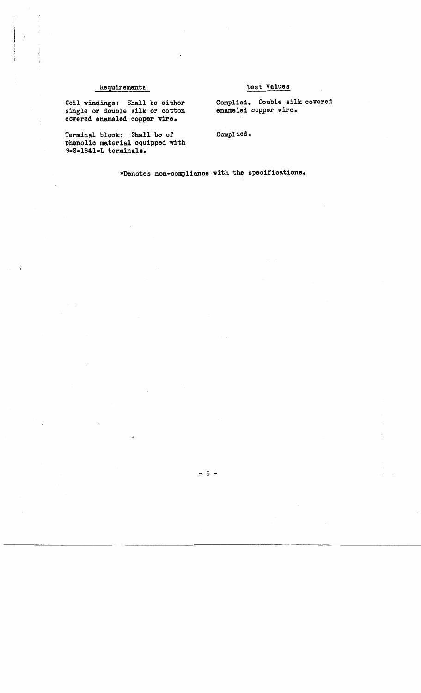### Requirements

### Test Values

Coil windings: Shall be either single or double silk or ootton covered enameled oopper **wire.** 

Terminal block: Shall be of phenolic material equipped with 9-S-1841-L terminals.

Complied. Double silk covered enameled copper **wire.** 

Complied.

•Denotes non-compliance with the specifications.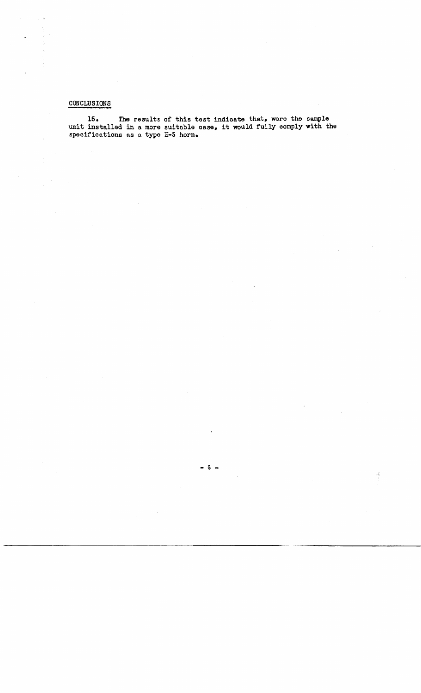### CONCLUSIONS

15. The results of this test indicate that, were the sample<br>unit installed in a more suitable case, it would fully comply with the specifications as a type H-3 horn.

ÿ,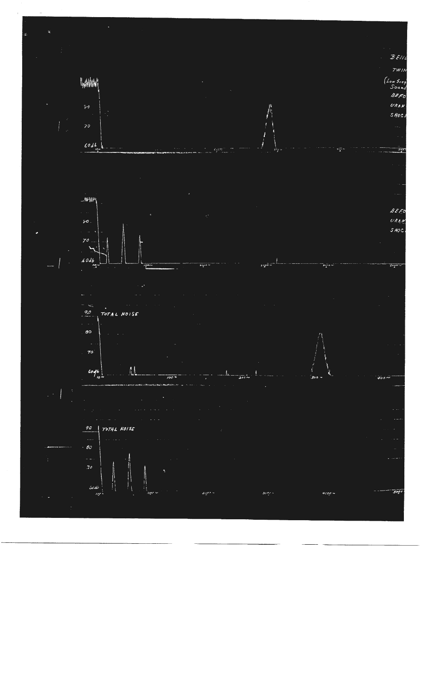



 $BENI$  $TWI$ 

 $50/1$ 











 $60d6$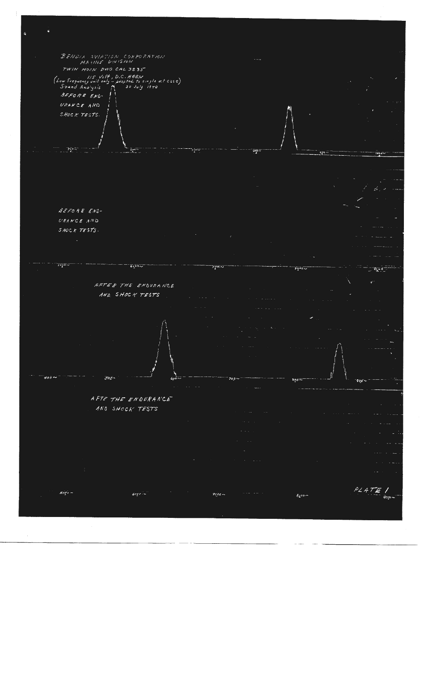

 $s_{\sigma\sigma}$   $\sim$  $\overline{\text{Gecel}}$  $2000 \epsilon$ cco $\sim$ 

 $PLATE$ V  $9000 -$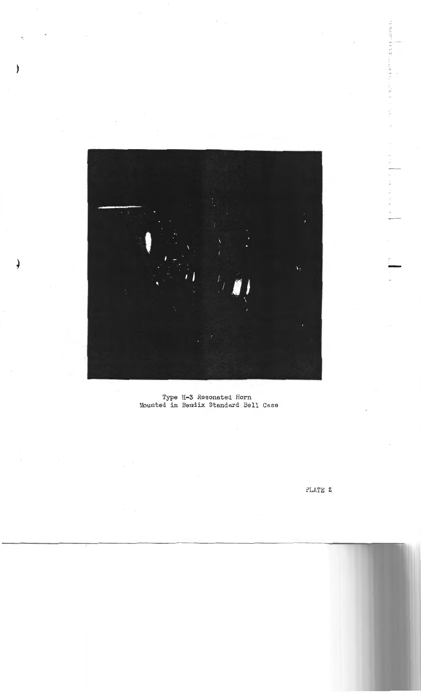